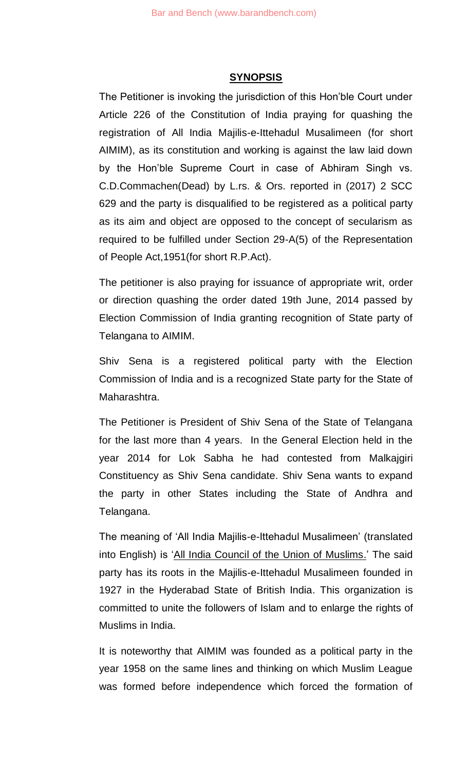#### **SYNOPSIS**

The Petitioner is invoking the jurisdiction of this Hon'ble Court under Article 226 of the Constitution of India praying for quashing the registration of All India Majilis-e-Ittehadul Musalimeen (for short AIMIM), as its constitution and working is against the law laid down by the Hon'ble Supreme Court in case of Abhiram Singh vs. C.D.Commachen(Dead) by L.rs. & Ors. reported in (2017) 2 SCC 629 and the party is disqualified to be registered as a political party as its aim and object are opposed to the concept of secularism as required to be fulfilled under Section 29-A(5) of the Representation of People Act,1951(for short R.P.Act).

The petitioner is also praying for issuance of appropriate writ, order or direction quashing the order dated 19th June, 2014 passed by Election Commission of India granting recognition of State party of Telangana to AIMIM.

Shiv Sena is a registered political party with the Election Commission of India and is a recognized State party for the State of Maharashtra.

The Petitioner is President of Shiv Sena of the State of Telangana for the last more than 4 years. In the General Election held in the year 2014 for Lok Sabha he had contested from Malkajgiri Constituency as Shiv Sena candidate. Shiv Sena wants to expand the party in other States including the State of Andhra and Telangana.

The meaning of 'All India Majilis-e-Ittehadul Musalimeen' (translated into English) is 'All India Council of the Union of Muslims.' The said party has its roots in the Majilis-e-Ittehadul Musalimeen founded in 1927 in the Hyderabad State of British India. This organization is committed to unite the followers of Islam and to enlarge the rights of Muslims in India.

It is noteworthy that AIMIM was founded as a political party in the year 1958 on the same lines and thinking on which Muslim League was formed before independence which forced the formation of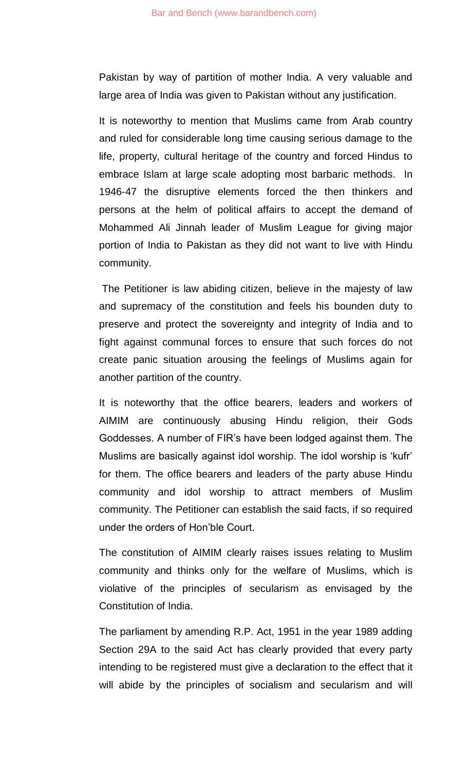Pakistan by way of partition of mother India. A very valuable and large area of India was given to Pakistan without any justification.

It is noteworthy to mention that Muslims came from Arab country and ruled for considerable long time causing serious damage to the life, property, cultural heritage of the country and forced Hindus to embrace Islam at large scale adopting most barbaric methods. In 1946-47 the disruptive elements forced the then thinkers and persons at the helm of political affairs to accept the demand of Mohammed Ali Jinnah leader of Muslim League for giving major portion of India to Pakistan as they did not want to live with Hindu community.

The Petitioner is law abiding citizen, believe in the majesty of law and supremacy of the constitution and feels his bounden duty to preserve and protect the sovereignty and integrity of India and to fight against communal forces to ensure that such forces do not create panic situation arousing the feelings of Muslims again for another partition of the country.

It is noteworthy that the office bearers, leaders and workers of AIMIM are continuously abusing Hindu religion, their Gods Goddesses. A number of FIR's have been lodged against them. The Muslims are basically against idol worship. The idol worship is 'kufr' for them. The office bearers and leaders of the party abuse Hindu community and idol worship to attract members of Muslim community. The Petitioner can establish the said facts, if so required under the orders of Hon'ble Court.

The constitution of AIMIM clearly raises issues relating to Muslim community and thinks only for the welfare of Muslims, which is violative of the principles of secularism as envisaged by the Constitution of India.

The parliament by amending R.P. Act, 1951 in the year 1989 adding Section 29A to the said Act has clearly provided that every party intending to be registered must give a declaration to the effect that it will abide by the principles of socialism and secularism and will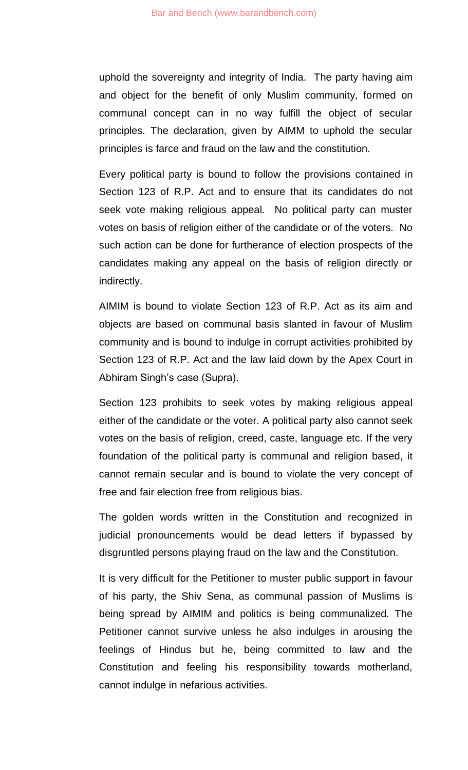uphold the sovereignty and integrity of India. The party having aim and object for the benefit of only Muslim community, formed on communal concept can in no way fulfill the object of secular principles. The declaration, given by AIMM to uphold the secular principles is farce and fraud on the law and the constitution.

Every political party is bound to follow the provisions contained in Section 123 of R.P. Act and to ensure that its candidates do not seek vote making religious appeal. No political party can muster votes on basis of religion either of the candidate or of the voters. No such action can be done for furtherance of election prospects of the candidates making any appeal on the basis of religion directly or indirectly.

AIMIM is bound to violate Section 123 of R.P. Act as its aim and objects are based on communal basis slanted in favour of Muslim community and is bound to indulge in corrupt activities prohibited by Section 123 of R.P. Act and the law laid down by the Apex Court in Abhiram Singh's case (Supra).

Section 123 prohibits to seek votes by making religious appeal either of the candidate or the voter. A political party also cannot seek votes on the basis of religion, creed, caste, language etc. If the very foundation of the political party is communal and religion based, it cannot remain secular and is bound to violate the very concept of free and fair election free from religious bias.

The golden words written in the Constitution and recognized in judicial pronouncements would be dead letters if bypassed by disgruntled persons playing fraud on the law and the Constitution.

It is very difficult for the Petitioner to muster public support in favour of his party, the Shiv Sena, as communal passion of Muslims is being spread by AIMIM and politics is being communalized. The Petitioner cannot survive unless he also indulges in arousing the feelings of Hindus but he, being committed to law and the Constitution and feeling his responsibility towards motherland, cannot indulge in nefarious activities.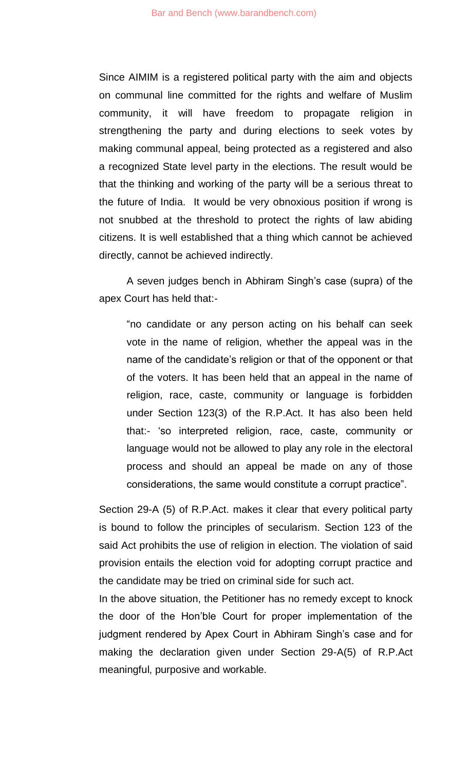Since AIMIM is a registered political party with the aim and objects on communal line committed for the rights and welfare of Muslim community, it will have freedom to propagate religion in strengthening the party and during elections to seek votes by making communal appeal, being protected as a registered and also a recognized State level party in the elections. The result would be that the thinking and working of the party will be a serious threat to the future of India. It would be very obnoxious position if wrong is not snubbed at the threshold to protect the rights of law abiding citizens. It is well established that a thing which cannot be achieved directly, cannot be achieved indirectly.

A seven judges bench in Abhiram Singh's case (supra) of the apex Court has held that:-

"no candidate or any person acting on his behalf can seek vote in the name of religion, whether the appeal was in the name of the candidate's religion or that of the opponent or that of the voters. It has been held that an appeal in the name of religion, race, caste, community or language is forbidden under Section 123(3) of the R.P.Act. It has also been held that:- 'so interpreted religion, race, caste, community or language would not be allowed to play any role in the electoral process and should an appeal be made on any of those considerations, the same would constitute a corrupt practice".

Section 29-A (5) of R.P.Act. makes it clear that every political party is bound to follow the principles of secularism. Section 123 of the said Act prohibits the use of religion in election. The violation of said provision entails the election void for adopting corrupt practice and the candidate may be tried on criminal side for such act.

In the above situation, the Petitioner has no remedy except to knock the door of the Hon'ble Court for proper implementation of the judgment rendered by Apex Court in Abhiram Singh's case and for making the declaration given under Section 29-A(5) of R.P.Act meaningful, purposive and workable.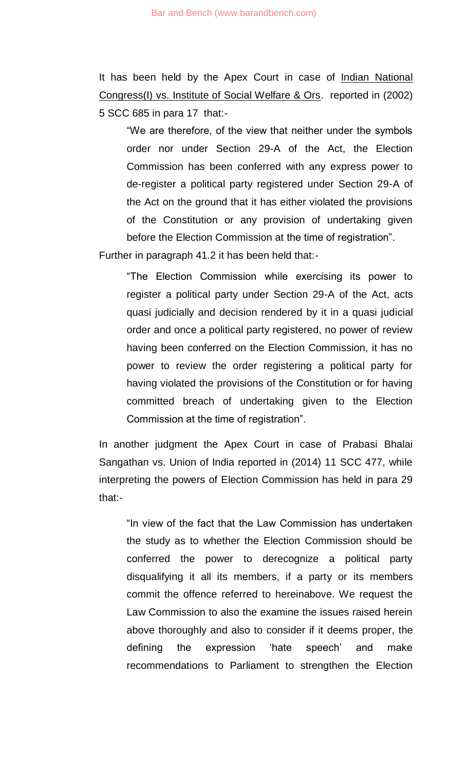It has been held by the Apex Court in case of Indian National Congress(I) vs. Institute of Social Welfare & Ors. reported in (2002) 5 SCC 685 in para 17 that:-

"We are therefore, of the view that neither under the symbols order nor under Section 29-A of the Act, the Election Commission has been conferred with any express power to de-register a political party registered under Section 29-A of the Act on the ground that it has either violated the provisions of the Constitution or any provision of undertaking given before the Election Commission at the time of registration".

Further in paragraph 41.2 it has been held that:-

"The Election Commission while exercising its power to register a political party under Section 29-A of the Act, acts quasi judicially and decision rendered by it in a quasi judicial order and once a political party registered, no power of review having been conferred on the Election Commission, it has no power to review the order registering a political party for having violated the provisions of the Constitution or for having committed breach of undertaking given to the Election Commission at the time of registration".

In another judgment the Apex Court in case of Prabasi Bhalai Sangathan vs. Union of India reported in (2014) 11 SCC 477, while interpreting the powers of Election Commission has held in para 29 that:-

"In view of the fact that the Law Commission has undertaken the study as to whether the Election Commission should be conferred the power to derecognize a political party disqualifying it all its members, if a party or its members commit the offence referred to hereinabove. We request the Law Commission to also the examine the issues raised herein above thoroughly and also to consider if it deems proper, the defining the expression 'hate speech' and make recommendations to Parliament to strengthen the Election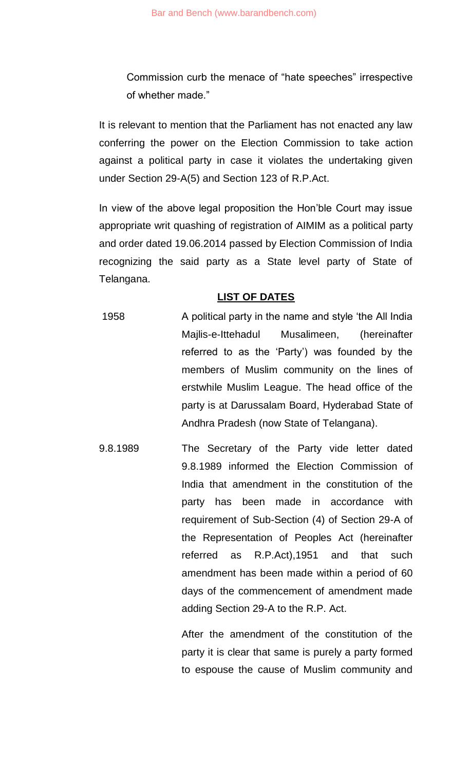Commission curb the menace of "hate speeches" irrespective of whether made."

It is relevant to mention that the Parliament has not enacted any law conferring the power on the Election Commission to take action against a political party in case it violates the undertaking given under Section 29-A(5) and Section 123 of R.P.Act.

In view of the above legal proposition the Hon'ble Court may issue appropriate writ quashing of registration of AIMIM as a political party and order dated 19.06.2014 passed by Election Commission of India recognizing the said party as a State level party of State of Telangana.

# **LIST OF DATES**

- 1958 A political party in the name and style 'the All India Majlis-e-Ittehadul Musalimeen, (hereinafter referred to as the 'Party') was founded by the members of Muslim community on the lines of erstwhile Muslim League. The head office of the party is at Darussalam Board, Hyderabad State of Andhra Pradesh (now State of Telangana).
- 9.8.1989 The Secretary of the Party vide letter dated 9.8.1989 informed the Election Commission of India that amendment in the constitution of the party has been made in accordance with requirement of Sub-Section (4) of Section 29-A of the Representation of Peoples Act (hereinafter referred as R.P.Act),1951 and that such amendment has been made within a period of 60 days of the commencement of amendment made adding Section 29-A to the R.P. Act.

After the amendment of the constitution of the party it is clear that same is purely a party formed to espouse the cause of Muslim community and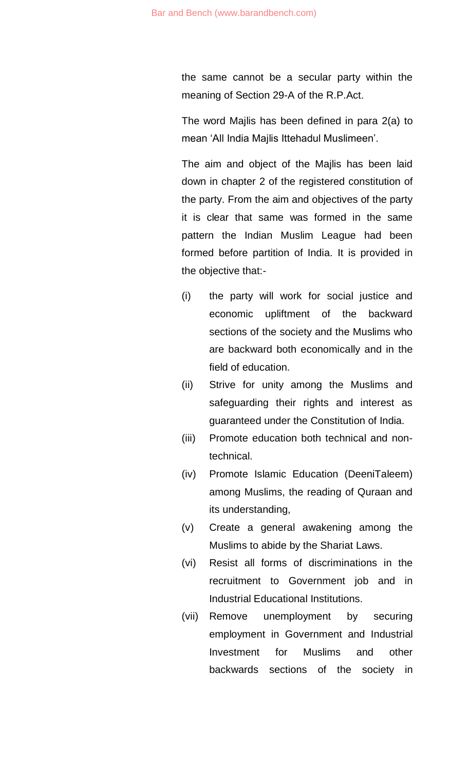the same cannot be a secular party within the meaning of Section 29-A of the R.P.Act.

The word Majlis has been defined in para 2(a) to mean 'All India Majlis Ittehadul Muslimeen'.

The aim and object of the Majlis has been laid down in chapter 2 of the registered constitution of the party. From the aim and objectives of the party it is clear that same was formed in the same pattern the Indian Muslim League had been formed before partition of India. It is provided in the objective that:-

- (i) the party will work for social justice and economic upliftment of the backward sections of the society and the Muslims who are backward both economically and in the field of education.
- (ii) Strive for unity among the Muslims and safeguarding their rights and interest as guaranteed under the Constitution of India.
- (iii) Promote education both technical and nontechnical.
- (iv) Promote Islamic Education (DeeniTaleem) among Muslims, the reading of Quraan and its understanding,
- (v) Create a general awakening among the Muslims to abide by the Shariat Laws.
- (vi) Resist all forms of discriminations in the recruitment to Government job and in Industrial Educational Institutions.
- (vii) Remove unemployment by securing employment in Government and Industrial Investment for Muslims and other backwards sections of the society in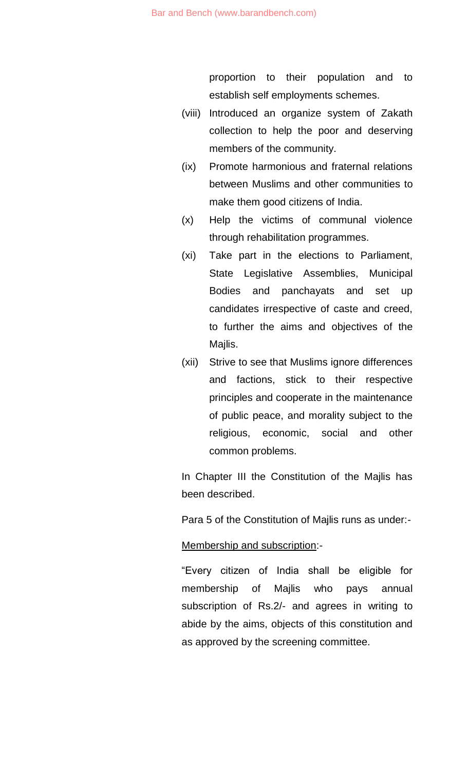proportion to their population and to establish self employments schemes.

- (viii) Introduced an organize system of Zakath collection to help the poor and deserving members of the community.
- (ix) Promote harmonious and fraternal relations between Muslims and other communities to make them good citizens of India.
- (x) Help the victims of communal violence through rehabilitation programmes.
- (xi) Take part in the elections to Parliament, State Legislative Assemblies, Municipal Bodies and panchayats and set up candidates irrespective of caste and creed, to further the aims and objectives of the Majlis.
- (xii) Strive to see that Muslims ignore differences and factions, stick to their respective principles and cooperate in the maintenance of public peace, and morality subject to the religious, economic, social and other common problems.

In Chapter III the Constitution of the Majlis has been described.

Para 5 of the Constitution of Majlis runs as under:-

#### Membership and subscription:-

"Every citizen of India shall be eligible for membership of Majlis who pays annual subscription of Rs.2/- and agrees in writing to abide by the aims, objects of this constitution and as approved by the screening committee.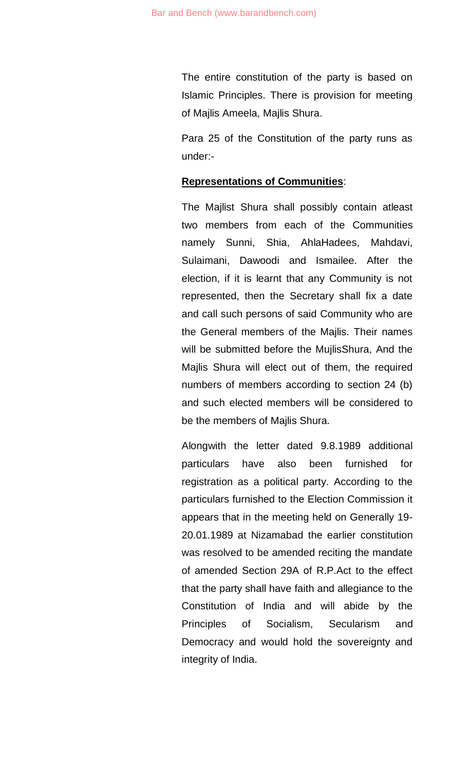The entire constitution of the party is based on Islamic Principles. There is provision for meeting of Majlis Ameela, Majlis Shura.

Para 25 of the Constitution of the party runs as under:-

#### **Representations of Communities**:

The Majlist Shura shall possibly contain atleast two members from each of the Communities namely Sunni, Shia, AhlaHadees, Mahdavi, Sulaimani, Dawoodi and Ismailee. After the election, if it is learnt that any Community is not represented, then the Secretary shall fix a date and call such persons of said Community who are the General members of the Majlis. Their names will be submitted before the MujlisShura, And the Majlis Shura will elect out of them, the required numbers of members according to section 24 (b) and such elected members will be considered to be the members of Majlis Shura.

Alongwith the letter dated 9.8.1989 additional particulars have also been furnished for registration as a political party. According to the particulars furnished to the Election Commission it appears that in the meeting held on Generally 19- 20.01.1989 at Nizamabad the earlier constitution was resolved to be amended reciting the mandate of amended Section 29A of R.P.Act to the effect that the party shall have faith and allegiance to the Constitution of India and will abide by the Principles of Socialism, Secularism and Democracy and would hold the sovereignty and integrity of India.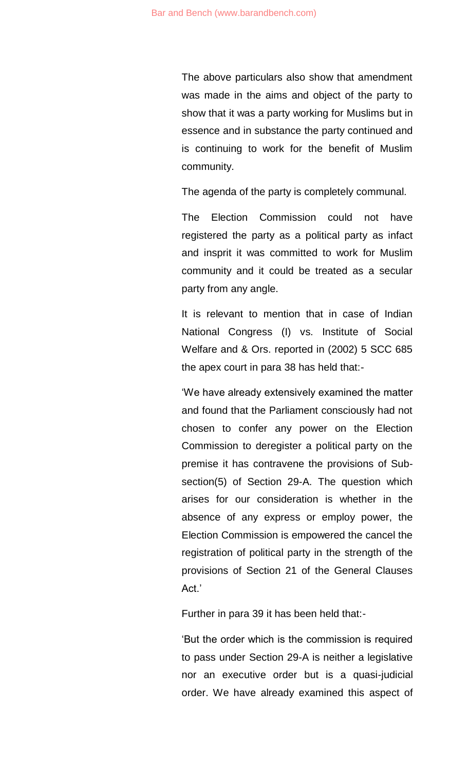The above particulars also show that amendment was made in the aims and object of the party to show that it was a party working for Muslims but in essence and in substance the party continued and is continuing to work for the benefit of Muslim community.

The agenda of the party is completely communal.

The Election Commission could not have registered the party as a political party as infact and insprit it was committed to work for Muslim community and it could be treated as a secular party from any angle.

It is relevant to mention that in case of Indian National Congress (I) vs. Institute of Social Welfare and & Ors. reported in (2002) 5 SCC 685 the apex court in para 38 has held that:-

'We have already extensively examined the matter and found that the Parliament consciously had not chosen to confer any power on the Election Commission to deregister a political party on the premise it has contravene the provisions of Subsection(5) of Section 29-A. The question which arises for our consideration is whether in the absence of any express or employ power, the Election Commission is empowered the cancel the registration of political party in the strength of the provisions of Section 21 of the General Clauses Act.'

Further in para 39 it has been held that:-

'But the order which is the commission is required to pass under Section 29-A is neither a legislative nor an executive order but is a quasi-judicial order. We have already examined this aspect of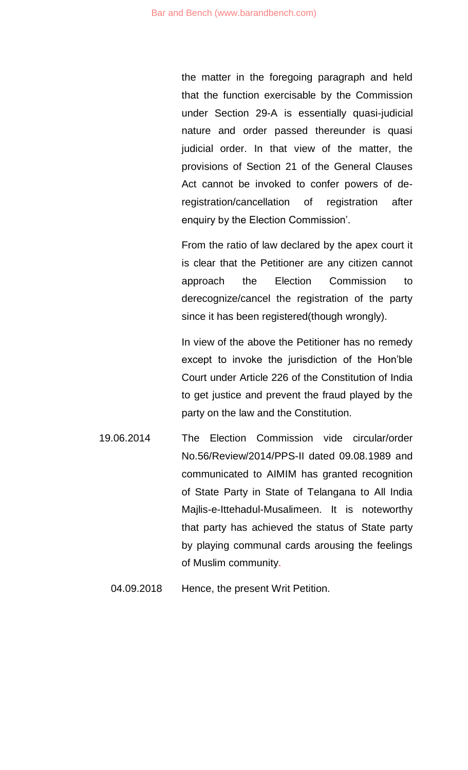the matter in the foregoing paragraph and held that the function exercisable by the Commission under Section 29-A is essentially quasi-judicial nature and order passed thereunder is quasi judicial order. In that view of the matter, the provisions of Section 21 of the General Clauses Act cannot be invoked to confer powers of deregistration/cancellation of registration after enquiry by the Election Commission'.

From the ratio of law declared by the apex court it is clear that the Petitioner are any citizen cannot approach the Election Commission to derecognize/cancel the registration of the party since it has been registered(though wrongly).

In view of the above the Petitioner has no remedy except to invoke the jurisdiction of the Hon'ble Court under Article 226 of the Constitution of India to get justice and prevent the fraud played by the party on the law and the Constitution.

- 19.06.2014 The Election Commission vide circular/order No.56/Review/2014/PPS-II dated 09.08.1989 and communicated to AIMIM has granted recognition of State Party in State of Telangana to All India Majlis-e-Ittehadul-Musalimeen. It is noteworthy that party has achieved the status of State party by playing communal cards arousing the feelings of Muslim community.
	- 04.09.2018 Hence, the present Writ Petition.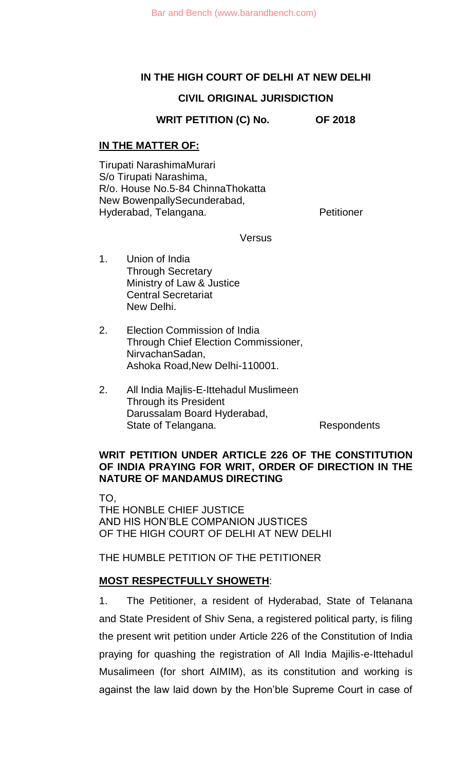#### **IN THE HIGH COURT OF DELHI AT NEW DELHI**

# **CIVIL ORIGINAL JURISDICTION**

**WRIT PETITION (C) No. OF 2018**

# **IN THE MATTER OF:**

Tirupati NarashimaMurari S/o Tirupati Narashima, R/o. House No.5-84 ChinnaThokatta New BowenpallySecunderabad, Hyderabad, Telangana. Petitioner

**Versus** 

- 1. Union of India Through Secretary Ministry of Law & Justice Central Secretariat New Delhi.
- 2. Election Commission of India Through Chief Election Commissioner, NirvachanSadan, Ashoka Road,New Delhi-110001.
- 2. All India Majlis-E-Ittehadul Muslimeen Through its President Darussalam Board Hyderabad, State of Telangana. The Respondents

#### **WRIT PETITION UNDER ARTICLE 226 OF THE CONSTITUTION OF INDIA PRAYING FOR WRIT, ORDER OF DIRECTION IN THE NATURE OF MANDAMUS DIRECTING**

TO, THE HONBLE CHIEF JUSTICE AND HIS HON'BLE COMPANION JUSTICES OF THE HIGH COURT OF DELHI AT NEW DELHI

THE HUMBLE PETITION OF THE PETITIONER

# **MOST RESPECTFULLY SHOWETH**:

1. The Petitioner, a resident of Hyderabad, State of Telanana and State President of Shiv Sena, a registered political party, is filing the present writ petition under Article 226 of the Constitution of India praying for quashing the registration of All India Majilis-e-Ittehadul Musalimeen (for short AIMIM), as its constitution and working is against the law laid down by the Hon'ble Supreme Court in case of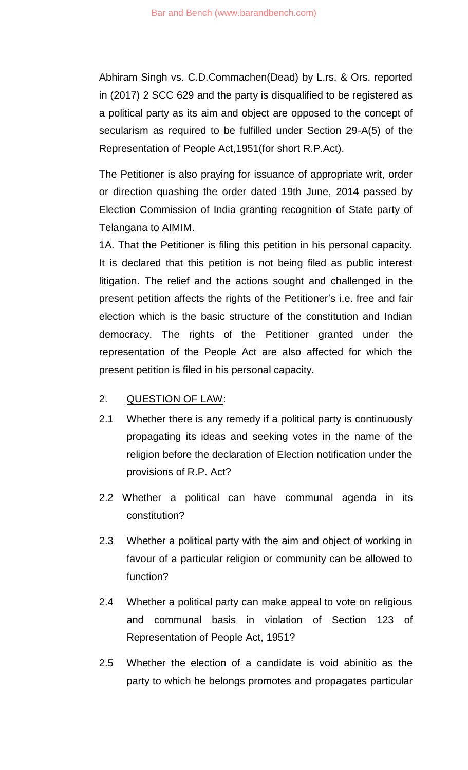Abhiram Singh vs. C.D.Commachen(Dead) by L.rs. & Ors. reported in (2017) 2 SCC 629 and the party is disqualified to be registered as a political party as its aim and object are opposed to the concept of secularism as required to be fulfilled under Section 29-A(5) of the Representation of People Act,1951(for short R.P.Act).

The Petitioner is also praying for issuance of appropriate writ, order or direction quashing the order dated 19th June, 2014 passed by Election Commission of India granting recognition of State party of Telangana to AIMIM.

1A. That the Petitioner is filing this petition in his personal capacity. It is declared that this petition is not being filed as public interest litigation. The relief and the actions sought and challenged in the present petition affects the rights of the Petitioner's i.e. free and fair election which is the basic structure of the constitution and Indian democracy. The rights of the Petitioner granted under the representation of the People Act are also affected for which the present petition is filed in his personal capacity.

# 2. QUESTION OF LAW:

- 2.1 Whether there is any remedy if a political party is continuously propagating its ideas and seeking votes in the name of the religion before the declaration of Election notification under the provisions of R.P. Act?
- 2.2 Whether a political can have communal agenda in its constitution?
- 2.3 Whether a political party with the aim and object of working in favour of a particular religion or community can be allowed to function?
- 2.4 Whether a political party can make appeal to vote on religious and communal basis in violation of Section 123 of Representation of People Act, 1951?
- 2.5 Whether the election of a candidate is void abinitio as the party to which he belongs promotes and propagates particular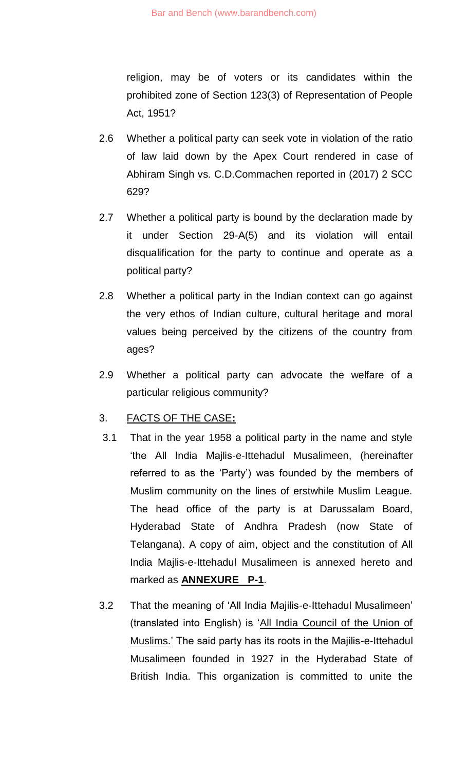religion, may be of voters or its candidates within the prohibited zone of Section 123(3) of Representation of People Act, 1951?

- 2.6 Whether a political party can seek vote in violation of the ratio of law laid down by the Apex Court rendered in case of Abhiram Singh vs. C.D.Commachen reported in (2017) 2 SCC 629?
- 2.7 Whether a political party is bound by the declaration made by it under Section 29-A(5) and its violation will entail disqualification for the party to continue and operate as a political party?
- 2.8 Whether a political party in the Indian context can go against the very ethos of Indian culture, cultural heritage and moral values being perceived by the citizens of the country from ages?
- 2.9 Whether a political party can advocate the welfare of a particular religious community?

# 3. FACTS OF THE CASE**:**

- 3.1 That in the year 1958 a political party in the name and style 'the All India Majlis-e-Ittehadul Musalimeen, (hereinafter referred to as the 'Party') was founded by the members of Muslim community on the lines of erstwhile Muslim League. The head office of the party is at Darussalam Board, Hyderabad State of Andhra Pradesh (now State of Telangana). A copy of aim, object and the constitution of All India Majlis-e-Ittehadul Musalimeen is annexed hereto and marked as **ANNEXURE P-1**.
- 3.2 That the meaning of 'All India Majilis-e-Ittehadul Musalimeen' (translated into English) is 'All India Council of the Union of Muslims.' The said party has its roots in the Majilis-e-Ittehadul Musalimeen founded in 1927 in the Hyderabad State of British India. This organization is committed to unite the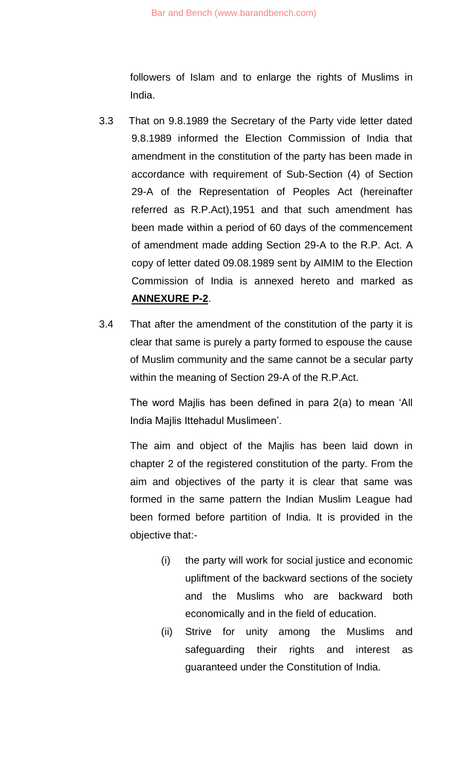followers of Islam and to enlarge the rights of Muslims in India.

- 3.3 That on 9.8.1989 the Secretary of the Party vide letter dated 9.8.1989 informed the Election Commission of India that amendment in the constitution of the party has been made in accordance with requirement of Sub-Section (4) of Section 29-A of the Representation of Peoples Act (hereinafter referred as R.P.Act),1951 and that such amendment has been made within a period of 60 days of the commencement of amendment made adding Section 29-A to the R.P. Act. A copy of letter dated 09.08.1989 sent by AIMIM to the Election Commission of India is annexed hereto and marked as **ANNEXURE P-2**.
- 3.4 That after the amendment of the constitution of the party it is clear that same is purely a party formed to espouse the cause of Muslim community and the same cannot be a secular party within the meaning of Section 29-A of the R.P.Act.

The word Majlis has been defined in para 2(a) to mean 'All India Majlis Ittehadul Muslimeen'.

The aim and object of the Majlis has been laid down in chapter 2 of the registered constitution of the party. From the aim and objectives of the party it is clear that same was formed in the same pattern the Indian Muslim League had been formed before partition of India. It is provided in the objective that:-

- (i) the party will work for social justice and economic upliftment of the backward sections of the society and the Muslims who are backward both economically and in the field of education.
- (ii) Strive for unity among the Muslims and safeguarding their rights and interest as guaranteed under the Constitution of India.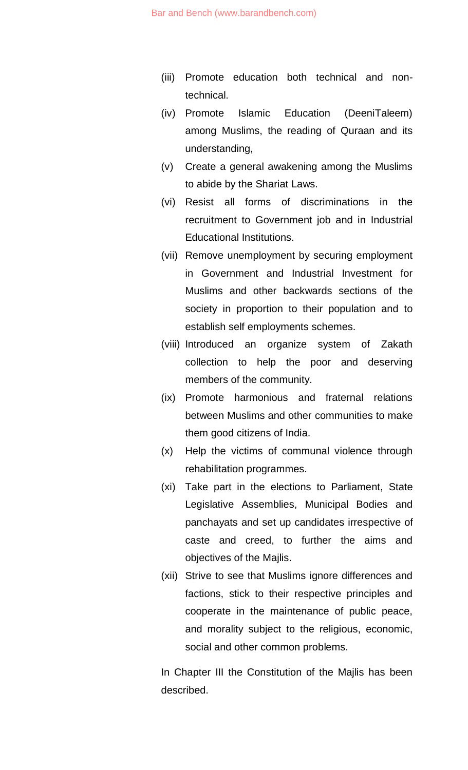- (iii) Promote education both technical and nontechnical.
- (iv) Promote Islamic Education (DeeniTaleem) among Muslims, the reading of Quraan and its understanding,
- (v) Create a general awakening among the Muslims to abide by the Shariat Laws.
- (vi) Resist all forms of discriminations in the recruitment to Government job and in Industrial Educational Institutions.
- (vii) Remove unemployment by securing employment in Government and Industrial Investment for Muslims and other backwards sections of the society in proportion to their population and to establish self employments schemes.
- (viii) Introduced an organize system of Zakath collection to help the poor and deserving members of the community.
- (ix) Promote harmonious and fraternal relations between Muslims and other communities to make them good citizens of India.
- (x) Help the victims of communal violence through rehabilitation programmes.
- (xi) Take part in the elections to Parliament, State Legislative Assemblies, Municipal Bodies and panchayats and set up candidates irrespective of caste and creed, to further the aims and objectives of the Majlis.
- (xii) Strive to see that Muslims ignore differences and factions, stick to their respective principles and cooperate in the maintenance of public peace, and morality subject to the religious, economic, social and other common problems.

In Chapter III the Constitution of the Majlis has been described.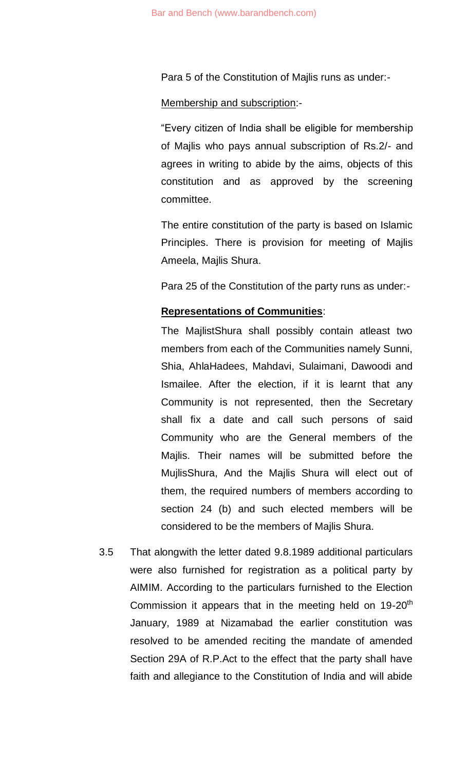Para 5 of the Constitution of Majlis runs as under:-

#### Membership and subscription:-

"Every citizen of India shall be eligible for membership of Majlis who pays annual subscription of Rs.2/- and agrees in writing to abide by the aims, objects of this constitution and as approved by the screening committee.

The entire constitution of the party is based on Islamic Principles. There is provision for meeting of Majlis Ameela, Majlis Shura.

Para 25 of the Constitution of the party runs as under:-

#### **Representations of Communities**:

The MajlistShura shall possibly contain atleast two members from each of the Communities namely Sunni, Shia, AhlaHadees, Mahdavi, Sulaimani, Dawoodi and Ismailee. After the election, if it is learnt that any Community is not represented, then the Secretary shall fix a date and call such persons of said Community who are the General members of the Majlis. Their names will be submitted before the MujlisShura, And the Majlis Shura will elect out of them, the required numbers of members according to section 24 (b) and such elected members will be considered to be the members of Majlis Shura.

3.5 That alongwith the letter dated 9.8.1989 additional particulars were also furnished for registration as a political party by AIMIM. According to the particulars furnished to the Election Commission it appears that in the meeting held on  $19-20<sup>th</sup>$ January, 1989 at Nizamabad the earlier constitution was resolved to be amended reciting the mandate of amended Section 29A of R.P.Act to the effect that the party shall have faith and allegiance to the Constitution of India and will abide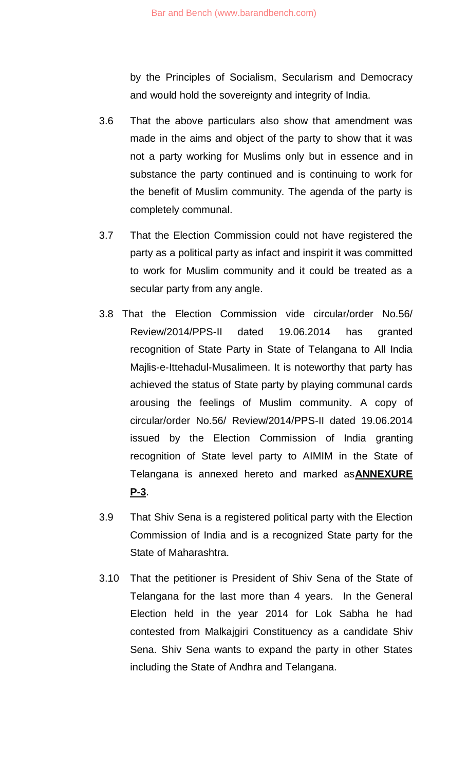by the Principles of Socialism, Secularism and Democracy and would hold the sovereignty and integrity of India.

- 3.6 That the above particulars also show that amendment was made in the aims and object of the party to show that it was not a party working for Muslims only but in essence and in substance the party continued and is continuing to work for the benefit of Muslim community. The agenda of the party is completely communal.
- 3.7 That the Election Commission could not have registered the party as a political party as infact and inspirit it was committed to work for Muslim community and it could be treated as a secular party from any angle.
- 3.8 That the Election Commission vide circular/order No.56/ Review/2014/PPS-II dated 19.06.2014 has granted recognition of State Party in State of Telangana to All India Majlis-e-Ittehadul-Musalimeen. It is noteworthy that party has achieved the status of State party by playing communal cards arousing the feelings of Muslim community. A copy of circular/order No.56/ Review/2014/PPS-II dated 19.06.2014 issued by the Election Commission of India granting recognition of State level party to AIMIM in the State of Telangana is annexed hereto and marked as**ANNEXURE P-3**.
- 3.9 That Shiv Sena is a registered political party with the Election Commission of India and is a recognized State party for the State of Maharashtra.
- 3.10 That the petitioner is President of Shiv Sena of the State of Telangana for the last more than 4 years. In the General Election held in the year 2014 for Lok Sabha he had contested from Malkajgiri Constituency as a candidate Shiv Sena. Shiv Sena wants to expand the party in other States including the State of Andhra and Telangana.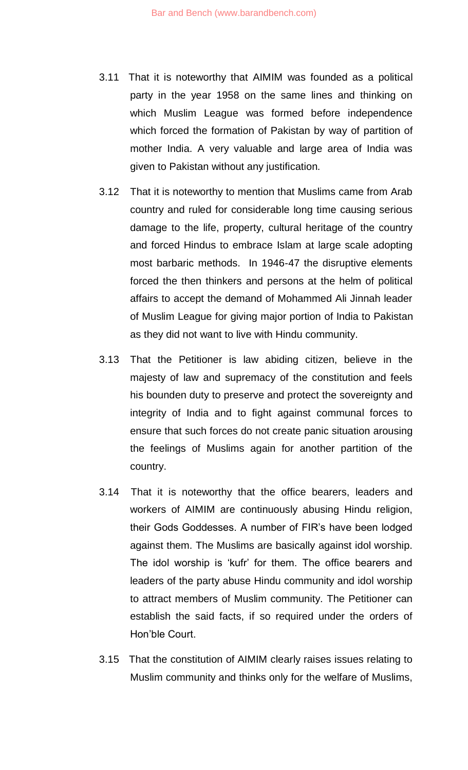- 3.11 That it is noteworthy that AIMIM was founded as a political party in the year 1958 on the same lines and thinking on which Muslim League was formed before independence which forced the formation of Pakistan by way of partition of mother India. A very valuable and large area of India was given to Pakistan without any justification.
- 3.12 That it is noteworthy to mention that Muslims came from Arab country and ruled for considerable long time causing serious damage to the life, property, cultural heritage of the country and forced Hindus to embrace Islam at large scale adopting most barbaric methods. In 1946-47 the disruptive elements forced the then thinkers and persons at the helm of political affairs to accept the demand of Mohammed Ali Jinnah leader of Muslim League for giving major portion of India to Pakistan as they did not want to live with Hindu community.
- 3.13 That the Petitioner is law abiding citizen, believe in the majesty of law and supremacy of the constitution and feels his bounden duty to preserve and protect the sovereignty and integrity of India and to fight against communal forces to ensure that such forces do not create panic situation arousing the feelings of Muslims again for another partition of the country.
- 3.14 That it is noteworthy that the office bearers, leaders and workers of AIMIM are continuously abusing Hindu religion, their Gods Goddesses. A number of FIR's have been lodged against them. The Muslims are basically against idol worship. The idol worship is 'kufr' for them. The office bearers and leaders of the party abuse Hindu community and idol worship to attract members of Muslim community. The Petitioner can establish the said facts, if so required under the orders of Hon'ble Court.
- 3.15 That the constitution of AIMIM clearly raises issues relating to Muslim community and thinks only for the welfare of Muslims,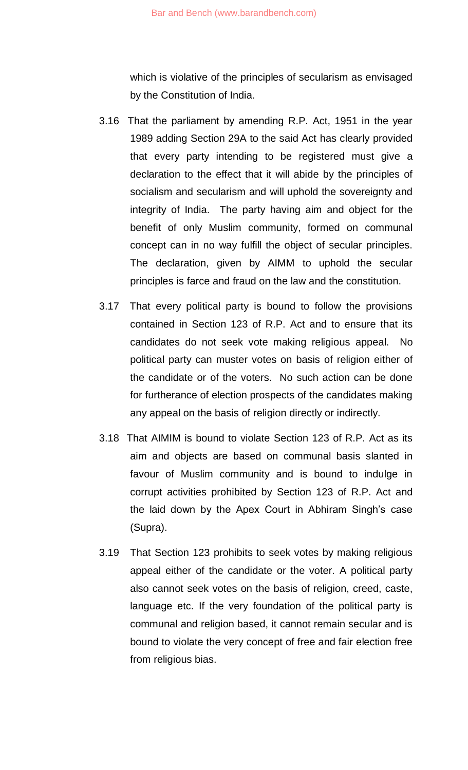which is violative of the principles of secularism as envisaged by the Constitution of India.

- 3.16 That the parliament by amending R.P. Act, 1951 in the year 1989 adding Section 29A to the said Act has clearly provided that every party intending to be registered must give a declaration to the effect that it will abide by the principles of socialism and secularism and will uphold the sovereignty and integrity of India. The party having aim and object for the benefit of only Muslim community, formed on communal concept can in no way fulfill the object of secular principles. The declaration, given by AIMM to uphold the secular principles is farce and fraud on the law and the constitution.
- 3.17 That every political party is bound to follow the provisions contained in Section 123 of R.P. Act and to ensure that its candidates do not seek vote making religious appeal. No political party can muster votes on basis of religion either of the candidate or of the voters. No such action can be done for furtherance of election prospects of the candidates making any appeal on the basis of religion directly or indirectly.
- 3.18 That AIMIM is bound to violate Section 123 of R.P. Act as its aim and objects are based on communal basis slanted in favour of Muslim community and is bound to indulge in corrupt activities prohibited by Section 123 of R.P. Act and the laid down by the Apex Court in Abhiram Singh's case (Supra).
- 3.19 That Section 123 prohibits to seek votes by making religious appeal either of the candidate or the voter. A political party also cannot seek votes on the basis of religion, creed, caste, language etc. If the very foundation of the political party is communal and religion based, it cannot remain secular and is bound to violate the very concept of free and fair election free from religious bias.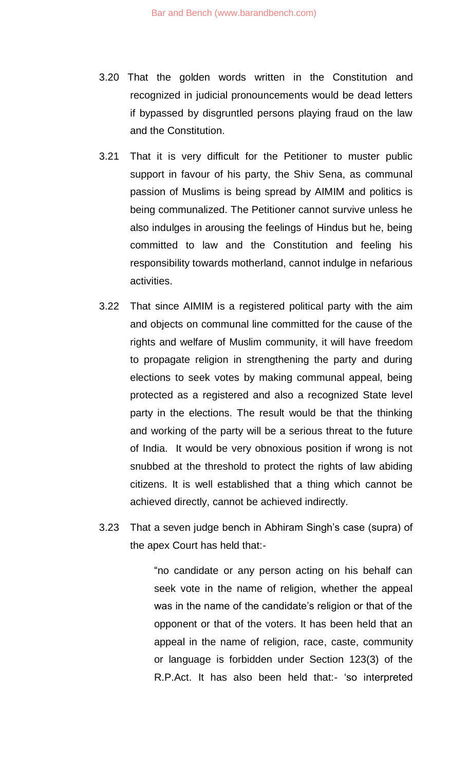- 3.20 That the golden words written in the Constitution and recognized in judicial pronouncements would be dead letters if bypassed by disgruntled persons playing fraud on the law and the Constitution.
- 3.21 That it is very difficult for the Petitioner to muster public support in favour of his party, the Shiv Sena, as communal passion of Muslims is being spread by AIMIM and politics is being communalized. The Petitioner cannot survive unless he also indulges in arousing the feelings of Hindus but he, being committed to law and the Constitution and feeling his responsibility towards motherland, cannot indulge in nefarious activities.
- 3.22 That since AIMIM is a registered political party with the aim and objects on communal line committed for the cause of the rights and welfare of Muslim community, it will have freedom to propagate religion in strengthening the party and during elections to seek votes by making communal appeal, being protected as a registered and also a recognized State level party in the elections. The result would be that the thinking and working of the party will be a serious threat to the future of India. It would be very obnoxious position if wrong is not snubbed at the threshold to protect the rights of law abiding citizens. It is well established that a thing which cannot be achieved directly, cannot be achieved indirectly.
- 3.23 That a seven judge bench in Abhiram Singh's case (supra) of the apex Court has held that:-

"no candidate or any person acting on his behalf can seek vote in the name of religion, whether the appeal was in the name of the candidate's religion or that of the opponent or that of the voters. It has been held that an appeal in the name of religion, race, caste, community or language is forbidden under Section 123(3) of the R.P.Act. It has also been held that:- 'so interpreted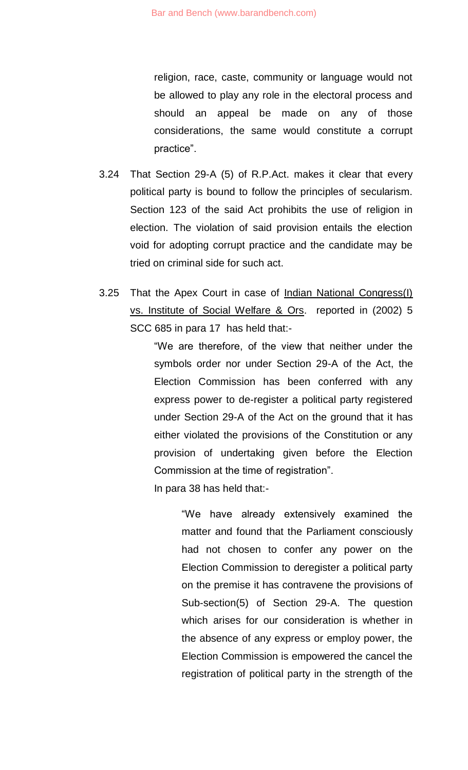religion, race, caste, community or language would not be allowed to play any role in the electoral process and should an appeal be made on any of those considerations, the same would constitute a corrupt practice".

- 3.24 That Section 29-A (5) of R.P.Act. makes it clear that every political party is bound to follow the principles of secularism. Section 123 of the said Act prohibits the use of religion in election. The violation of said provision entails the election void for adopting corrupt practice and the candidate may be tried on criminal side for such act.
- 3.25 That the Apex Court in case of Indian National Congress(I) vs. Institute of Social Welfare & Ors. reported in (2002) 5 SCC 685 in para 17 has held that:-

"We are therefore, of the view that neither under the symbols order nor under Section 29-A of the Act, the Election Commission has been conferred with any express power to de-register a political party registered under Section 29-A of the Act on the ground that it has either violated the provisions of the Constitution or any provision of undertaking given before the Election Commission at the time of registration".

In para 38 has held that:-

"We have already extensively examined the matter and found that the Parliament consciously had not chosen to confer any power on the Election Commission to deregister a political party on the premise it has contravene the provisions of Sub-section(5) of Section 29-A. The question which arises for our consideration is whether in the absence of any express or employ power, the Election Commission is empowered the cancel the registration of political party in the strength of the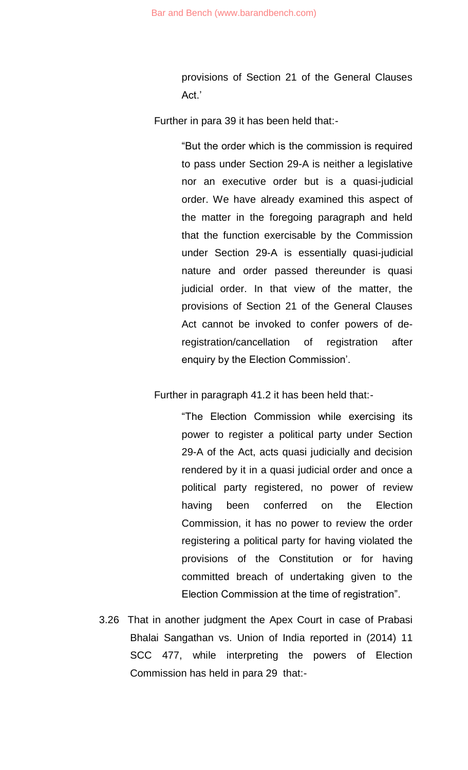provisions of Section 21 of the General Clauses Act.'

Further in para 39 it has been held that:-

"But the order which is the commission is required to pass under Section 29-A is neither a legislative nor an executive order but is a quasi-judicial order. We have already examined this aspect of the matter in the foregoing paragraph and held that the function exercisable by the Commission under Section 29-A is essentially quasi-judicial nature and order passed thereunder is quasi judicial order. In that view of the matter, the provisions of Section 21 of the General Clauses Act cannot be invoked to confer powers of deregistration/cancellation of registration after enquiry by the Election Commission'.

Further in paragraph 41.2 it has been held that:-

"The Election Commission while exercising its power to register a political party under Section 29-A of the Act, acts quasi judicially and decision rendered by it in a quasi judicial order and once a political party registered, no power of review having been conferred on the Election Commission, it has no power to review the order registering a political party for having violated the provisions of the Constitution or for having committed breach of undertaking given to the Election Commission at the time of registration".

3.26 That in another judgment the Apex Court in case of Prabasi Bhalai Sangathan vs. Union of India reported in (2014) 11 SCC 477, while interpreting the powers of Election Commission has held in para 29 that:-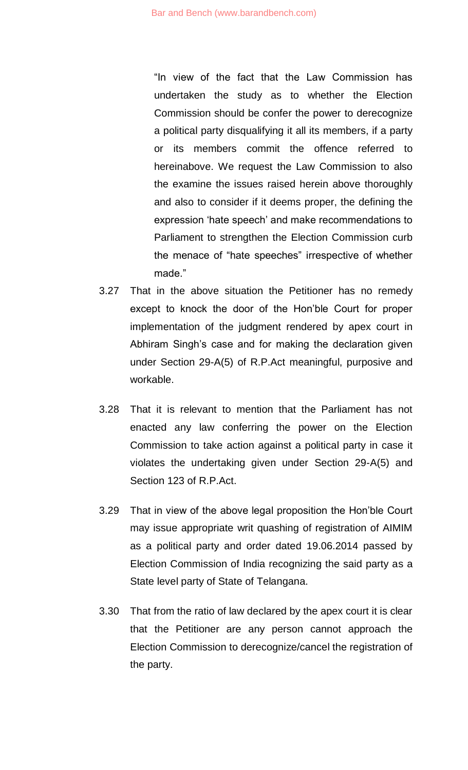"In view of the fact that the Law Commission has undertaken the study as to whether the Election Commission should be confer the power to derecognize a political party disqualifying it all its members, if a party or its members commit the offence referred to hereinabove. We request the Law Commission to also the examine the issues raised herein above thoroughly and also to consider if it deems proper, the defining the expression 'hate speech' and make recommendations to Parliament to strengthen the Election Commission curb the menace of "hate speeches" irrespective of whether made."

- 3.27 That in the above situation the Petitioner has no remedy except to knock the door of the Hon'ble Court for proper implementation of the judgment rendered by apex court in Abhiram Singh's case and for making the declaration given under Section 29-A(5) of R.P.Act meaningful, purposive and workable.
- 3.28 That it is relevant to mention that the Parliament has not enacted any law conferring the power on the Election Commission to take action against a political party in case it violates the undertaking given under Section 29-A(5) and Section 123 of R.P.Act.
- 3.29 That in view of the above legal proposition the Hon'ble Court may issue appropriate writ quashing of registration of AIMIM as a political party and order dated 19.06.2014 passed by Election Commission of India recognizing the said party as a State level party of State of Telangana.
- 3.30 That from the ratio of law declared by the apex court it is clear that the Petitioner are any person cannot approach the Election Commission to derecognize/cancel the registration of the party.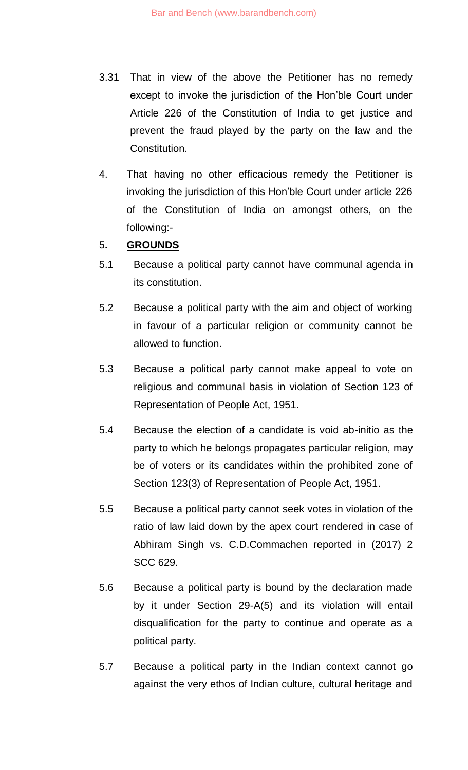- 3.31 That in view of the above the Petitioner has no remedy except to invoke the jurisdiction of the Hon'ble Court under Article 226 of the Constitution of India to get justice and prevent the fraud played by the party on the law and the Constitution.
- 4. That having no other efficacious remedy the Petitioner is invoking the jurisdiction of this Hon'ble Court under article 226 of the Constitution of India on amongst others, on the following:-

# 5**. GROUNDS**

- 5.1 Because a political party cannot have communal agenda in its constitution.
- 5.2 Because a political party with the aim and object of working in favour of a particular religion or community cannot be allowed to function.
- 5.3 Because a political party cannot make appeal to vote on religious and communal basis in violation of Section 123 of Representation of People Act, 1951.
- 5.4 Because the election of a candidate is void ab-initio as the party to which he belongs propagates particular religion, may be of voters or its candidates within the prohibited zone of Section 123(3) of Representation of People Act, 1951.
- 5.5 Because a political party cannot seek votes in violation of the ratio of law laid down by the apex court rendered in case of Abhiram Singh vs. C.D.Commachen reported in (2017) 2 SCC 629.
- 5.6 Because a political party is bound by the declaration made by it under Section 29-A(5) and its violation will entail disqualification for the party to continue and operate as a political party.
- 5.7 Because a political party in the Indian context cannot go against the very ethos of Indian culture, cultural heritage and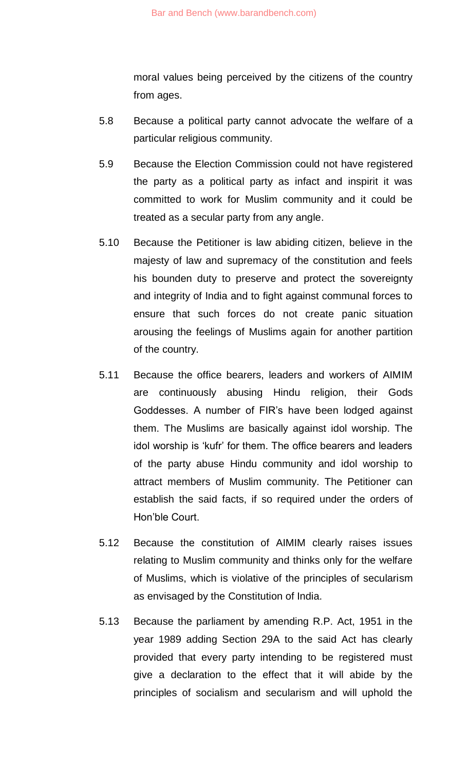moral values being perceived by the citizens of the country from ages.

- 5.8 Because a political party cannot advocate the welfare of a particular religious community.
- 5.9 Because the Election Commission could not have registered the party as a political party as infact and inspirit it was committed to work for Muslim community and it could be treated as a secular party from any angle.
- 5.10 Because the Petitioner is law abiding citizen, believe in the majesty of law and supremacy of the constitution and feels his bounden duty to preserve and protect the sovereignty and integrity of India and to fight against communal forces to ensure that such forces do not create panic situation arousing the feelings of Muslims again for another partition of the country.
- 5.11 Because the office bearers, leaders and workers of AIMIM are continuously abusing Hindu religion, their Gods Goddesses. A number of FIR's have been lodged against them. The Muslims are basically against idol worship. The idol worship is 'kufr' for them. The office bearers and leaders of the party abuse Hindu community and idol worship to attract members of Muslim community. The Petitioner can establish the said facts, if so required under the orders of Hon'ble Court.
- 5.12 Because the constitution of AIMIM clearly raises issues relating to Muslim community and thinks only for the welfare of Muslims, which is violative of the principles of secularism as envisaged by the Constitution of India.
- 5.13 Because the parliament by amending R.P. Act, 1951 in the year 1989 adding Section 29A to the said Act has clearly provided that every party intending to be registered must give a declaration to the effect that it will abide by the principles of socialism and secularism and will uphold the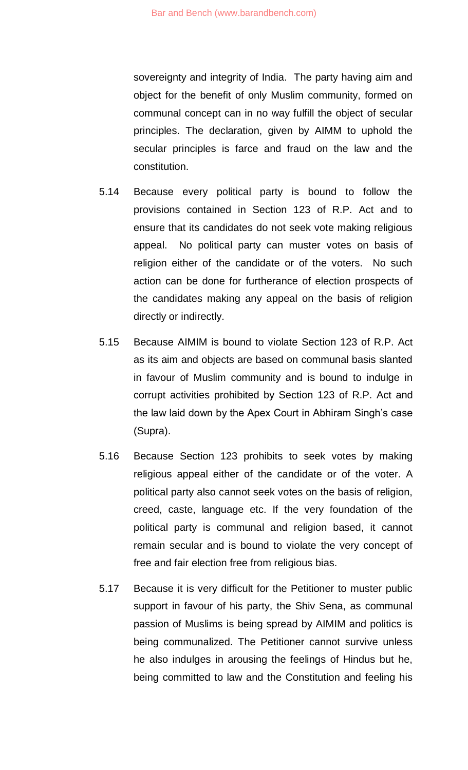sovereignty and integrity of India. The party having aim and object for the benefit of only Muslim community, formed on communal concept can in no way fulfill the object of secular principles. The declaration, given by AIMM to uphold the secular principles is farce and fraud on the law and the constitution.

- 5.14 Because every political party is bound to follow the provisions contained in Section 123 of R.P. Act and to ensure that its candidates do not seek vote making religious appeal. No political party can muster votes on basis of religion either of the candidate or of the voters. No such action can be done for furtherance of election prospects of the candidates making any appeal on the basis of religion directly or indirectly.
- 5.15 Because AIMIM is bound to violate Section 123 of R.P. Act as its aim and objects are based on communal basis slanted in favour of Muslim community and is bound to indulge in corrupt activities prohibited by Section 123 of R.P. Act and the law laid down by the Apex Court in Abhiram Singh's case (Supra).
- 5.16 Because Section 123 prohibits to seek votes by making religious appeal either of the candidate or of the voter. A political party also cannot seek votes on the basis of religion, creed, caste, language etc. If the very foundation of the political party is communal and religion based, it cannot remain secular and is bound to violate the very concept of free and fair election free from religious bias.
- 5.17 Because it is very difficult for the Petitioner to muster public support in favour of his party, the Shiv Sena, as communal passion of Muslims is being spread by AIMIM and politics is being communalized. The Petitioner cannot survive unless he also indulges in arousing the feelings of Hindus but he, being committed to law and the Constitution and feeling his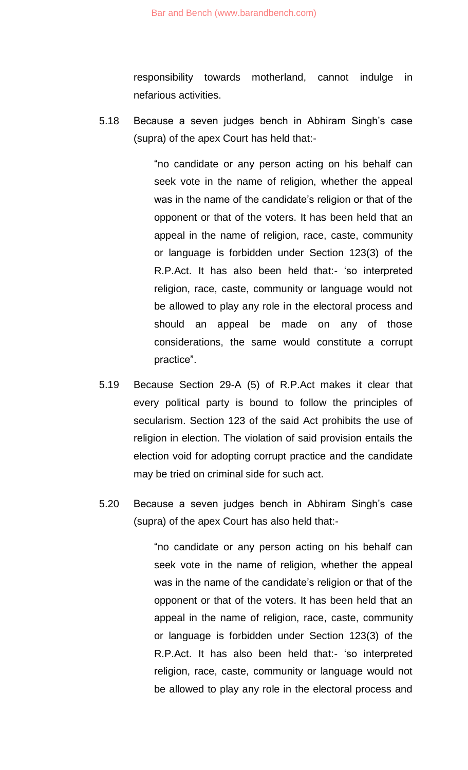responsibility towards motherland, cannot indulge in nefarious activities.

5.18 Because a seven judges bench in Abhiram Singh's case (supra) of the apex Court has held that:-

> "no candidate or any person acting on his behalf can seek vote in the name of religion, whether the appeal was in the name of the candidate's religion or that of the opponent or that of the voters. It has been held that an appeal in the name of religion, race, caste, community or language is forbidden under Section 123(3) of the R.P.Act. It has also been held that:- 'so interpreted religion, race, caste, community or language would not be allowed to play any role in the electoral process and should an appeal be made on any of those considerations, the same would constitute a corrupt practice".

- 5.19 Because Section 29-A (5) of R.P.Act makes it clear that every political party is bound to follow the principles of secularism. Section 123 of the said Act prohibits the use of religion in election. The violation of said provision entails the election void for adopting corrupt practice and the candidate may be tried on criminal side for such act.
- 5.20 Because a seven judges bench in Abhiram Singh's case (supra) of the apex Court has also held that:-

"no candidate or any person acting on his behalf can seek vote in the name of religion, whether the appeal was in the name of the candidate's religion or that of the opponent or that of the voters. It has been held that an appeal in the name of religion, race, caste, community or language is forbidden under Section 123(3) of the R.P.Act. It has also been held that:- 'so interpreted religion, race, caste, community or language would not be allowed to play any role in the electoral process and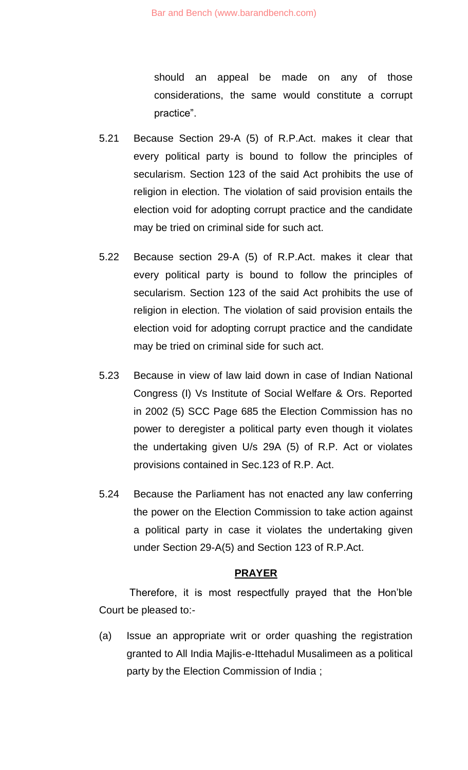should an appeal be made on any of those considerations, the same would constitute a corrupt practice".

- 5.21 Because Section 29-A (5) of R.P.Act. makes it clear that every political party is bound to follow the principles of secularism. Section 123 of the said Act prohibits the use of religion in election. The violation of said provision entails the election void for adopting corrupt practice and the candidate may be tried on criminal side for such act.
- 5.22 Because section 29-A (5) of R.P.Act. makes it clear that every political party is bound to follow the principles of secularism. Section 123 of the said Act prohibits the use of religion in election. The violation of said provision entails the election void for adopting corrupt practice and the candidate may be tried on criminal side for such act.
- 5.23 Because in view of law laid down in case of Indian National Congress (I) Vs Institute of Social Welfare & Ors. Reported in 2002 (5) SCC Page 685 the Election Commission has no power to deregister a political party even though it violates the undertaking given U/s 29A (5) of R.P. Act or violates provisions contained in Sec.123 of R.P. Act.
- 5.24 Because the Parliament has not enacted any law conferring the power on the Election Commission to take action against a political party in case it violates the undertaking given under Section 29-A(5) and Section 123 of R.P.Act.

#### **PRAYER**

Therefore, it is most respectfully prayed that the Hon'ble Court be pleased to:-

(a) Issue an appropriate writ or order quashing the registration granted to All India Majlis-e-Ittehadul Musalimeen as a political party by the Election Commission of India ;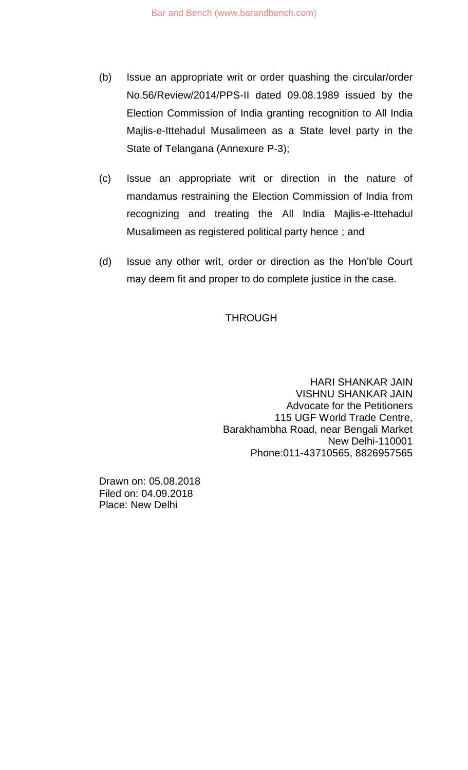- (b) Issue an appropriate writ or order quashing the circular/order No.56/Review/2014/PPS-II dated 09.08.1989 issued by the Election Commission of India granting recognition to All India Majlis-e-Ittehadul Musalimeen as a State level party in the State of Telangana (Annexure P-3);
- (c) Issue an appropriate writ or direction in the nature of mandamus restraining the Election Commission of India from recognizing and treating the All India Majlis-e-Ittehadul Musalimeen as registered political party hence ; and
- (d) Issue any other writ, order or direction as the Hon'ble Court may deem fit and proper to do complete justice in the case.

# **THROUGH**

HARI SHANKAR JAIN VISHNU SHANKAR JAIN Advocate for the Petitioners 115 UGF World Trade Centre, Barakhambha Road, near Bengali Market New Delhi-110001 Phone:011-43710565, 8826957565

Drawn on: 05.08.2018 Filed on: 04.09.2018 Place: New Delhi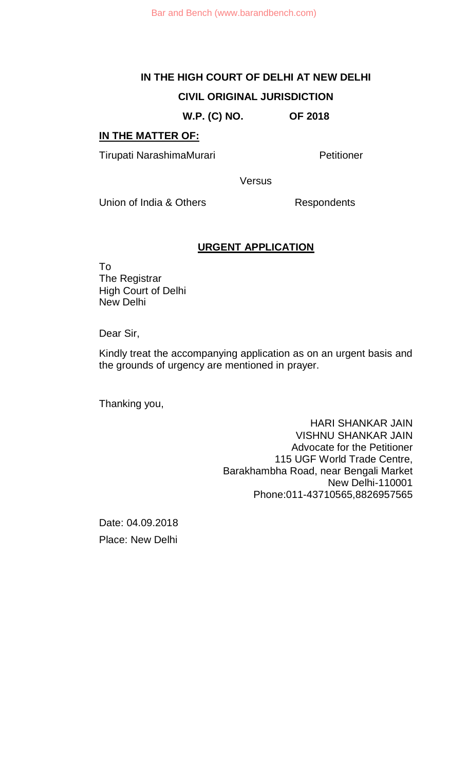**W.P. (C) NO. OF 2018**

#### **IN THE MATTER OF:**

Tirupati NarashimaMurari **Narashima Murati** Petitioner

**Versus** 

Union of India & Others Respondents

#### **URGENT APPLICATION**

To The Registrar High Court of Delhi New Delhi

Dear Sir,

Kindly treat the accompanying application as on an urgent basis and the grounds of urgency are mentioned in prayer.

Thanking you,

HARI SHANKAR JAIN VISHNU SHANKAR JAIN Advocate for the Petitioner 115 UGF World Trade Centre, Barakhambha Road, near Bengali Market New Delhi-110001 Phone:011-43710565,8826957565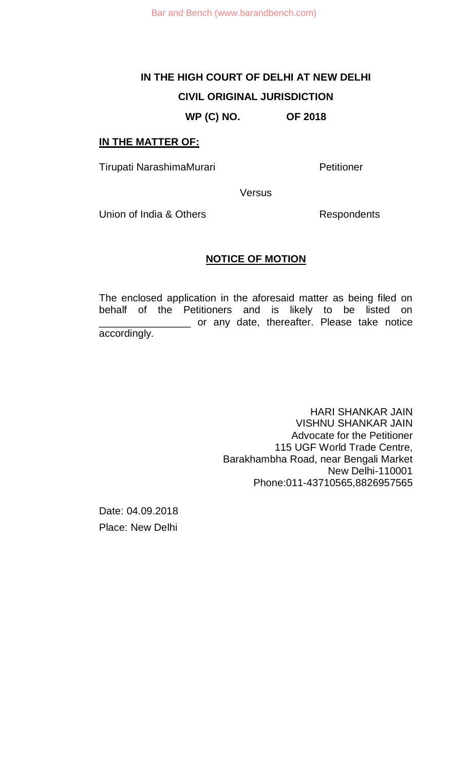# **WP (C) NO. OF 2018**

#### **IN THE MATTER OF:**

Tirupati NarashimaMurari **Narashima Murati** Petitioner

**Versus** 

Union of India & Others **Respondents** 

#### **NOTICE OF MOTION**

The enclosed application in the aforesaid matter as being filed on behalf of the Petitioners and is likely to be listed on \_\_\_\_\_\_\_\_\_\_\_\_\_\_\_\_ or any date, thereafter. Please take notice accordingly.

> HARI SHANKAR JAIN VISHNU SHANKAR JAIN Advocate for the Petitioner 115 UGF World Trade Centre, Barakhambha Road, near Bengali Market New Delhi-110001 Phone:011-43710565,8826957565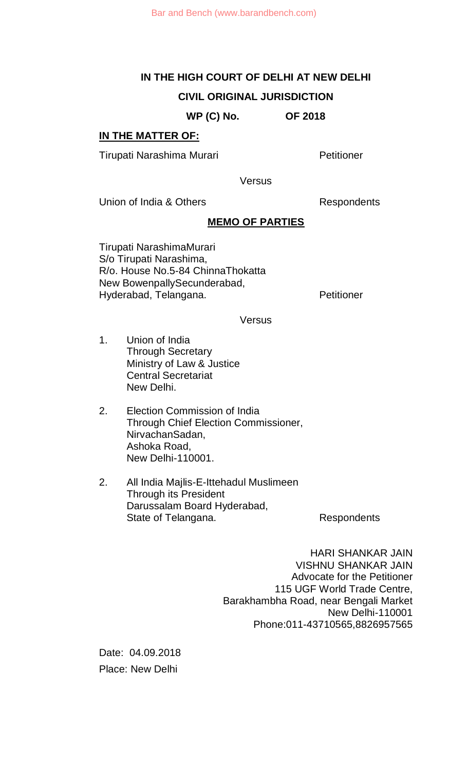**WP (C) No. OF 2018**

# **IN THE MATTER OF:**

Tirupati Narashima Murari **Narashima Murari** Petitioner

**Versus** 

Union of India & Others **Respondents** 

# **MEMO OF PARTIES**

Tirupati NarashimaMurari S/o Tirupati Narashima, R/o. House No.5-84 ChinnaThokatta New BowenpallySecunderabad, Hyderabad, Telangana. Petitioner

**Versus** 

- 1. Union of India Through Secretary Ministry of Law & Justice Central Secretariat New Delhi.
- 2. Election Commission of India Through Chief Election Commissioner, NirvachanSadan, Ashoka Road, New Delhi-110001.
- 2. All India Majlis-E-Ittehadul Muslimeen Through its President Darussalam Board Hyderabad, State of Telangana. The Respondents

HARI SHANKAR JAIN VISHNU SHANKAR JAIN Advocate for the Petitioner 115 UGF World Trade Centre, Barakhambha Road, near Bengali Market New Delhi-110001 Phone:011-43710565,8826957565